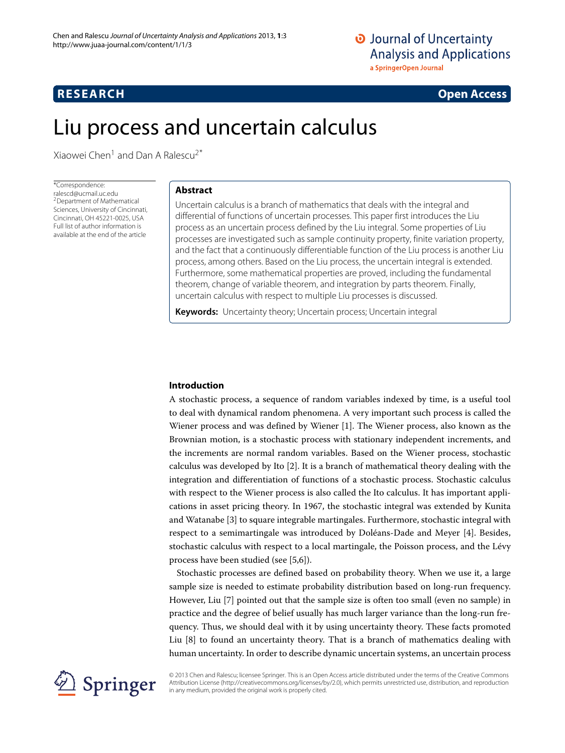# **RESEARCH Open Access**

# Liu process and uncertain calculus

Xiaowei Chen<sup>1</sup> and Dan A Ralescu<sup>2\*</sup>

\*Correspondence: ralescd@ucmail.uc.edu 2Department of Mathematical Sciences, University of Cincinnati, Cincinnati, OH 45221-0025, USA Full list of author information is available at the end of the article

## **Abstract**

Uncertain calculus is a branch of mathematics that deals with the integral and differential of functions of uncertain processes. This paper first introduces the Liu process as an uncertain process defined by the Liu integral. Some properties of Liu processes are investigated such as sample continuity property, finite variation property, and the fact that a continuously differentiable function of the Liu process is another Liu process, among others. Based on the Liu process, the uncertain integral is extended. Furthermore, some mathematical properties are proved, including the fundamental theorem, change of variable theorem, and integration by parts theorem. Finally, uncertain calculus with respect to multiple Liu processes is discussed.

**Keywords:** Uncertainty theory; Uncertain process; Uncertain integral

#### **Introduction**

A stochastic process, a sequence of random variables indexed by time, is a useful tool to deal with dynamical random phenomena. A very important such process is called the Wiener process and was defined by Wiener [\[1\]](#page-11-0). The Wiener process, also known as the Brownian motion, is a stochastic process with stationary independent increments, and the increments are normal random variables. Based on the Wiener process, stochastic calculus was developed by Ito [\[2\]](#page-11-1). It is a branch of mathematical theory dealing with the integration and differentiation of functions of a stochastic process. Stochastic calculus with respect to the Wiener process is also called the Ito calculus. It has important applications in asset pricing theory. In 1967, the stochastic integral was extended by Kunita and Watanabe [\[3\]](#page-11-2) to square integrable martingales. Furthermore, stochastic integral with respect to a semimartingale was introduced by Doléans-Dade and Meyer [\[4\]](#page-11-3). Besides, stochastic calculus with respect to a local martingale, the Poisson process, and the Lévy process have been studied (see [\[5,](#page-11-4)[6\]](#page-11-5)).

Stochastic processes are defined based on probability theory. When we use it, a large sample size is needed to estimate probability distribution based on long-run frequency. However, Liu [\[7\]](#page-11-6) pointed out that the sample size is often too small (even no sample) in practice and the degree of belief usually has much larger variance than the long-run frequency. Thus, we should deal with it by using uncertainty theory. These facts promoted Liu [\[8\]](#page-11-7) to found an uncertainty theory. That is a branch of mathematics dealing with human uncertainty. In order to describe dynamic uncertain systems, an uncertain process



© 2013 Chen and Ralescu; licensee Springer. This is an Open Access article distributed under the terms of the Creative Commons Attribution License (http://creativecommons.org/licenses/by/2.0), which permits unrestricted use, distribution, and reproduction in any medium, provided the original work is properly cited.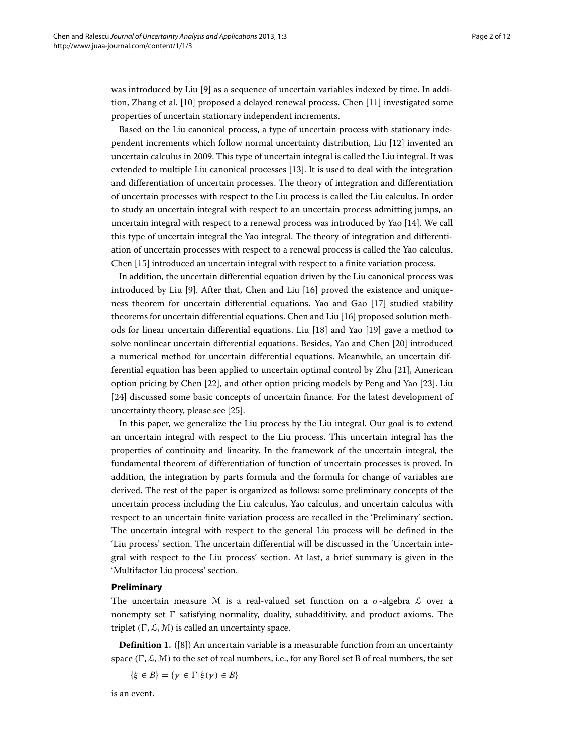was introduced by Liu [\[9\]](#page-11-8) as a sequence of uncertain variables indexed by time. In addition, Zhang et al. [\[10\]](#page-11-9) proposed a delayed renewal process. Chen [\[11\]](#page-11-10) investigated some properties of uncertain stationary independent increments.

Based on the Liu canonical process, a type of uncertain process with stationary independent increments which follow normal uncertainty distribution, Liu [\[12\]](#page-11-11) invented an uncertain calculus in 2009. This type of uncertain integral is called the Liu integral. It was extended to multiple Liu canonical processes [\[13\]](#page-11-12). It is used to deal with the integration and differentiation of uncertain processes. The theory of integration and differentiation of uncertain processes with respect to the Liu process is called the Liu calculus. In order to study an uncertain integral with respect to an uncertain process admitting jumps, an uncertain integral with respect to a renewal process was introduced by Yao [\[14\]](#page-11-13). We call this type of uncertain integral the Yao integral. The theory of integration and differentiation of uncertain processes with respect to a renewal process is called the Yao calculus. Chen [\[15\]](#page-11-14) introduced an uncertain integral with respect to a finite variation process.

In addition, the uncertain differential equation driven by the Liu canonical process was introduced by Liu [\[9\]](#page-11-8). After that, Chen and Liu [\[16\]](#page-11-15) proved the existence and uniqueness theorem for uncertain differential equations. Yao and Gao [\[17\]](#page-11-16) studied stability theorems for uncertain differential equations. Chen and Liu [\[16\]](#page-11-15) proposed solution methods for linear uncertain differential equations. Liu [\[18\]](#page-11-17) and Yao [\[19\]](#page-11-18) gave a method to solve nonlinear uncertain differential equations. Besides, Yao and Chen [\[20\]](#page-11-19) introduced a numerical method for uncertain differential equations. Meanwhile, an uncertain differential equation has been applied to uncertain optimal control by Zhu [\[21\]](#page-11-20), American option pricing by Chen [\[22\]](#page-11-21), and other option pricing models by Peng and Yao [\[23\]](#page-11-22). Liu [\[24\]](#page-11-23) discussed some basic concepts of uncertain finance. For the latest development of uncertainty theory, please see [\[25\]](#page-11-24).

In this paper, we generalize the Liu process by the Liu integral. Our goal is to extend an uncertain integral with respect to the Liu process. This uncertain integral has the properties of continuity and linearity. In the framework of the uncertain integral, the fundamental theorem of differentiation of function of uncertain processes is proved. In addition, the integration by parts formula and the formula for change of variables are derived. The rest of the paper is organized as follows: some preliminary concepts of the uncertain process including the Liu calculus, Yao calculus, and uncertain calculus with respect to an uncertain finite variation process are recalled in the ['Preliminary'](#page-1-0) section. The uncertain integral with respect to the general Liu process will be defined in the ['Liu process'](#page-5-0) section. The uncertain differential will be discussed in the 'Uncertain integral with respect to the Liu process' section. At last, a brief summary is given in the ['Multifactor Liu process'](#page-10-0) section.

#### <span id="page-1-0"></span>**Preliminary**

The uncertain measure M is a real-valued set function on a  $\sigma$ -algebra L over a nonempty set  $\Gamma$  satisfying normality, duality, subadditivity, and product axioms. The triplet  $(\Gamma, \mathcal{L}, \mathcal{M})$  is called an uncertainty space.

**Definition 1.** ([\[8\]](#page-11-7)) An uncertain variable is a measurable function from an uncertainty space  $(\Gamma, \mathcal{L}, \mathcal{M})$  to the set of real numbers, i.e., for any Borel set B of real numbers, the set

$$
\{\xi\in B\}=\{\gamma\in\Gamma\vert\xi(\gamma)\in B\}
$$

is an event.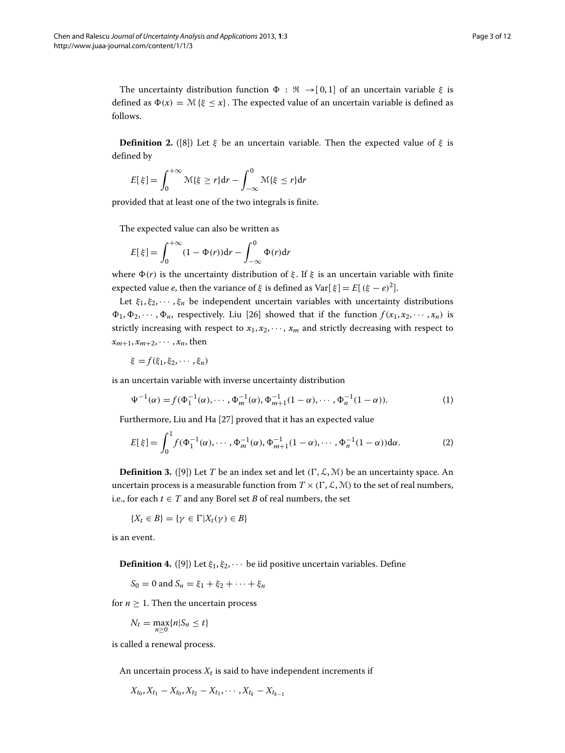The uncertainty distribution function  $\Phi : \Re \rightarrow [0,1]$  of an uncertain variable  $\xi$  is defined as  $\Phi(x) = \mathcal{M}\{\xi \leq x\}$ . The expected value of an uncertain variable is defined as follows.

**Definition 2.** ([\[8\]](#page-11-7)) Let  $\xi$  be an uncertain variable. Then the expected value of  $\xi$  is defined by

$$
E[\xi] = \int_0^{+\infty} \mathcal{M}\{\xi \ge r\} dr - \int_{-\infty}^0 \mathcal{M}\{\xi \le r\} dr
$$

provided that at least one of the two integrals is finite.

The expected value can also be written as

$$
E[\xi] = \int_0^{+\infty} (1 - \Phi(r))dr - \int_{-\infty}^0 \Phi(r)dr
$$

where  $\Phi(r)$  is the uncertainty distribution of  $\xi$ . If  $\xi$  is an uncertain variable with finite expected value *e*, then the variance of  $\xi$  is defined as Var[ $\xi$ ] =  $E[(\xi - e)^2]$ .

Let  $\xi_1, \xi_2, \dots, \xi_n$  be independent uncertain variables with uncertainty distributions  $\Phi_1, \Phi_2, \cdots, \Phi_n$ , respectively. Liu [\[26\]](#page-11-25) showed that if the function  $f(x_1, x_2, \cdots, x_n)$  is strictly increasing with respect to  $x_1, x_2, \cdots, x_m$  and strictly decreasing with respect to  $x_{m+1}, x_{m+2}, \cdots, x_n$ , then

$$
\xi = f(\xi_1, \xi_2, \cdots, \xi_n)
$$

is an uncertain variable with inverse uncertainty distribution

$$
\Psi^{-1}(\alpha) = f(\Phi_1^{-1}(\alpha), \cdots, \Phi_m^{-1}(\alpha), \Phi_{m+1}^{-1}(1-\alpha), \cdots, \Phi_n^{-1}(1-\alpha)).
$$
\n(1)

Furthermore, Liu and Ha [\[27\]](#page-11-26) proved that it has an expected value

$$
E[\xi] = \int_0^1 f(\Phi_1^{-1}(\alpha), \cdots, \Phi_m^{-1}(\alpha), \Phi_{m+1}^{-1}(1-\alpha), \cdots, \Phi_n^{-1}(1-\alpha)) d\alpha.
$$
 (2)

**Definition 3.** ([\[9\]](#page-11-8)) Let *T* be an index set and let  $(\Gamma, \mathcal{L}, \mathcal{M})$  be an uncertainty space. An uncertain process is a measurable function from  $T \times (\Gamma, \mathcal{L}, \mathcal{M})$  to the set of real numbers, i.e., for each  $t \in T$  and any Borel set *B* of real numbers, the set

$$
\{X_t \in B\} = \{\gamma \in \Gamma | X_t(\gamma) \in B\}
$$

is an event.

**Definition 4.** ([\[9\]](#page-11-8)) Let  $\xi_1, \xi_2, \cdots$  be iid positive uncertain variables. Define

 $S_0 = 0$  and  $S_n = \xi_1 + \xi_2 + \cdots + \xi_n$ 

for  $n > 1$ . Then the uncertain process

$$
N_t = \max_{n\geq 0} \{n | S_n \leq t\}
$$

is called a renewal process.

An uncertain process  $X_t$  is said to have independent increments if

 $X_{t_0}, X_{t_1} - X_{t_0}, X_{t_2} - X_{t_1}, \cdots, X_{t_k} - X_{t_{k-1}}$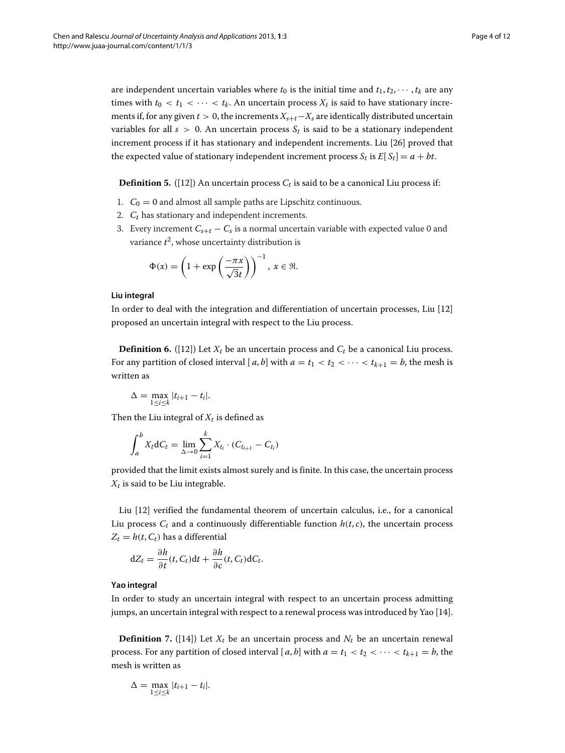are independent uncertain variables where  $t_0$  is the initial time and  $t_1, t_2, \dots, t_k$  are any times with  $t_0 < t_1 < \cdots < t_k$ . An uncertain process  $X_t$  is said to have stationary increments if, for any given  $t > 0$ , the increments  $X_{s+t}-X_s$  are identically distributed uncertain variables for all  $s > 0$ . An uncertain process  $S_t$  is said to be a stationary independent increment process if it has stationary and independent increments. Liu [\[26\]](#page-11-25) proved that the expected value of stationary independent increment process  $S_t$  is  $E[S_t] = a + bt$ .

**Definition 5.** ([\[12\]](#page-11-11)) An uncertain process  $C_t$  is said to be a canonical Liu process if:

- 1.  $C_0 = 0$  and almost all sample paths are Lipschitz continuous.
- 2.  $C_t$  has stationary and independent increments.
- 3. Every increment  $C_{s+t} C_s$  is a normal uncertain variable with expected value 0 and variance  $t^2$ , whose uncertainty distribution is

$$
\Phi(x) = \left(1 + \exp\left(\frac{-\pi x}{\sqrt{3}t}\right)\right)^{-1}, \ x \in \mathfrak{R}.
$$

#### **Liu integral**

In order to deal with the integration and differentiation of uncertain processes, Liu [\[12\]](#page-11-11) proposed an uncertain integral with respect to the Liu process.

**Definition 6.** ([\[12\]](#page-11-11)) Let  $X_t$  be an uncertain process and  $C_t$  be a canonical Liu process. For any partition of closed interval [ $a$ ,  $b$ ] with  $a = t_1 < t_2 < \cdots < t_{k+1} = b$ , the mesh is written as

$$
\Delta = \max_{1 \leq i \leq k} |t_{i+1} - t_i|.
$$

Then the Liu integral of  $X_t$  is defined as

$$
\int_{a}^{b} X_{t} dC_{t} = \lim_{\Delta \to 0} \sum_{i=1}^{k} X_{t_{i}} \cdot (C_{t_{i+1}} - C_{t_{i}})
$$

provided that the limit exists almost surely and is finite. In this case, the uncertain process  $X_t$  is said to be Liu integrable.

Liu [\[12\]](#page-11-11) verified the fundamental theorem of uncertain calculus, i.e., for a canonical Liu process  $C_t$  and a continuously differentiable function  $h(t, c)$ , the uncertain process  $Z_t = h(t, C_t)$  has a differential

$$
dZ_t = \frac{\partial h}{\partial t}(t, C_t)dt + \frac{\partial h}{\partial c}(t, C_t)dC_t.
$$

#### **Yao integral**

In order to study an uncertain integral with respect to an uncertain process admitting jumps, an uncertain integral with respect to a renewal process was introduced by Yao [\[14\]](#page-11-13).

**Definition** 7. ([\[14\]](#page-11-13)) Let  $X_t$  be an uncertain process and  $N_t$  be an uncertain renewal process. For any partition of closed interval  $[a, b]$  with  $a = t_1 < t_2 < \cdots < t_{k+1} = b$ , the mesh is written as

$$
\Delta = \max_{1 \leq i \leq k} |t_{i+1} - t_i|.
$$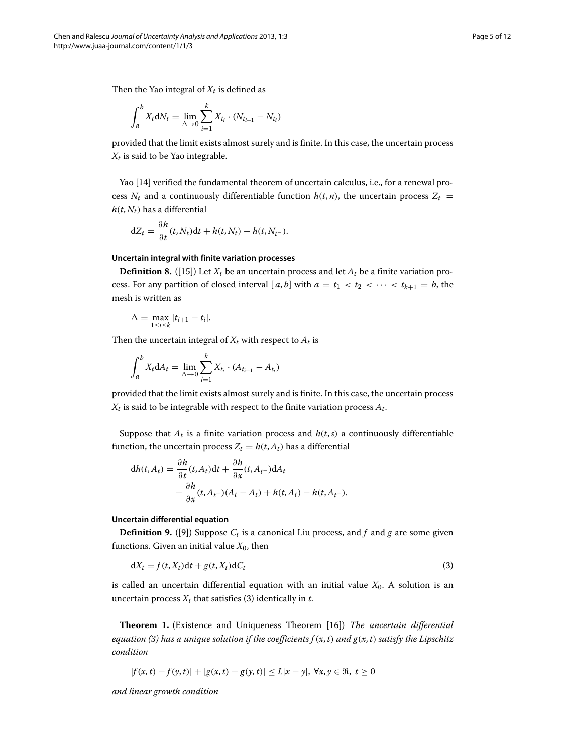$$
\int_{a}^{b} X_{t} dN_{t} = \lim_{\Delta \to 0} \sum_{i=1}^{k} X_{t_{i}} \cdot (N_{t_{i+1}} - N_{t_{i}})
$$

provided that the limit exists almost surely and is finite. In this case, the uncertain process  $X_t$  is said to be Yao integrable.

Yao [\[14\]](#page-11-13) verified the fundamental theorem of uncertain calculus, i.e., for a renewal process  $N_t$  and a continuously differentiable function  $h(t, n)$ , the uncertain process  $Z_t$  =  $h(t, N_t)$  has a differential

$$
dZ_t = \frac{\partial h}{\partial t}(t, N_t)dt + h(t, N_t) - h(t, N_{t-}).
$$

#### **Uncertain integral with finite variation processes**

**Definition 8.** ([\[15\]](#page-11-14)) Let  $X_t$  be an uncertain process and let  $A_t$  be a finite variation process. For any partition of closed interval [a, b] with  $a = t_1 < t_2 < \cdots < t_{k+1} = b$ , the mesh is written as

$$
\Delta = \max_{1 \leq i \leq k} |t_{i+1} - t_i|.
$$

Then the uncertain integral of  $X_t$  with respect to  $A_t$  is

$$
\int_{a}^{b} X_{t} dA_{t} = \lim_{\Delta \to 0} \sum_{i=1}^{k} X_{t_{i}} \cdot (A_{t_{i+1}} - A_{t_{i}})
$$

provided that the limit exists almost surely and is finite. In this case, the uncertain process  $X_t$  is said to be integrable with respect to the finite variation process  $A_t$ .

Suppose that  $A_t$  is a finite variation process and  $h(t,s)$  a continuously differentiable function, the uncertain process  $Z_t = h(t, A_t)$  has a differential

$$
dh(t, A_t) = \frac{\partial h}{\partial t}(t, A_t)dt + \frac{\partial h}{\partial x}(t, A_{t-})dA_t
$$
  
 
$$
- \frac{\partial h}{\partial x}(t, A_{t-})(A_t - A_t) + h(t, A_t) - h(t, A_{t-}).
$$

#### **Uncertain differential equation**

**Definition 9.** ([\[9\]](#page-11-8)) Suppose  $C_t$  is a canonical Liu process, and  $f$  and  $g$  are some given functions. Given an initial value  $X_0$ , then

<span id="page-4-0"></span>
$$
dX_t = f(t, X_t)dt + g(t, X_t)dC_t
$$
\n(3)

is called an uncertain differential equation with an initial value  $X_0$ . A solution is an uncertain process  $X_t$  that satisfies [\(3\)](#page-4-0) identically in  $t$ .

**Theorem 1.** (Existence and Uniqueness Theorem [\[16\]](#page-11-15)) *The uncertain differential equation [\(3\)](#page-4-0)* has a unique solution if the coefficients  $f(x, t)$  and  $g(x, t)$  satisfy the Lipschitz *condition*

$$
|f(x,t) - f(y,t)| + |g(x,t) - g(y,t)| \le L|x - y|, \forall x, y \in \Re, t \ge 0
$$

*and linear growth condition*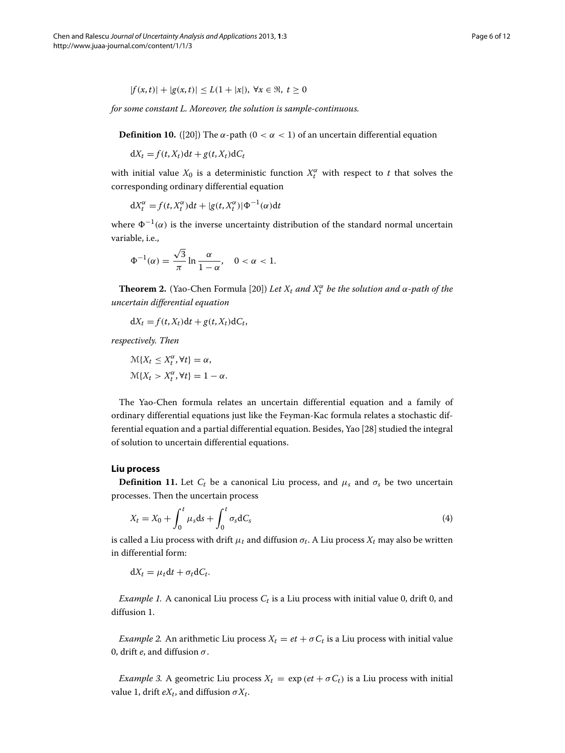$$
|f(x,t)| + |g(x,t)| \le L(1+|x|), \ \forall x \in \mathfrak{R}, \ t \ge 0
$$

*for some constant L. Moreover, the solution is sample-continuous.*

**Definition 10.** ([20]) The 
$$
\alpha
$$
-path ( $0 < \alpha < 1$ ) of an uncertain differential equation

 $dX_t = f(t, X_t)dt + g(t, X_t)dC_t$ 

with initial value  $X_0$  is a deterministic function  $X_t^{\alpha}$  with respect to *t* that solves the corresponding ordinary differential equation

$$
dX_t^{\alpha} = f(t, X_t^{\alpha})dt + |g(t, X_t^{\alpha})| \Phi^{-1}(\alpha)dt
$$

where  $\Phi^{-1}(\alpha)$  is the inverse uncertainty distribution of the standard normal uncertain variable, i.e.,

$$
\Phi^{-1}(\alpha) = \frac{\sqrt{3}}{\pi} \ln \frac{\alpha}{1 - \alpha}, \quad 0 < \alpha < 1.
$$

**Theorem 2.** (Yao-Chen Formula [\[20\]](#page-11-19)) *Let*  $X_t$  *and*  $X_t^{\alpha}$  *be the solution and*  $\alpha$ -*path of the uncertain differential equation*

 $dX_t = f(t, X_t)dt + g(t, X_t)dC_t$ 

*respectively. Then*

$$
\mathcal{M}\{X_t \le X_t^{\alpha}, \forall t\} = \alpha,
$$
  

$$
\mathcal{M}\{X_t > X_t^{\alpha}, \forall t\} = 1 - \alpha.
$$

The Yao-Chen formula relates an uncertain differential equation and a family of ordinary differential equations just like the Feyman-Kac formula relates a stochastic differential equation and a partial differential equation. Besides, Yao [\[28\]](#page-11-27) studied the integral of solution to uncertain differential equations.

#### <span id="page-5-0"></span>**Liu process**

**Definition 11.** Let  $C_t$  be a canonical Liu process, and  $\mu_s$  and  $\sigma_s$  be two uncertain processes. Then the uncertain process

$$
X_t = X_0 + \int_0^t \mu_s \mathrm{d}s + \int_0^t \sigma_s \mathrm{d}C_s \tag{4}
$$

is called a Liu process with drift  $\mu_t$  and diffusion  $\sigma_t$ . A Liu process  $X_t$  may also be written in differential form:

 $dX_t = \mu_t dt + \sigma_t dC_t$ .

*Example 1.* A canonical Liu process  $C_t$  is a Liu process with initial value 0, drift 0, and diffusion 1.

*Example 2.* An arithmetic Liu process  $X_t = et + \sigma C_t$  is a Liu process with initial value 0, drift *e*, and diffusion *σ*.

*Example 3.* A geometric Liu process  $X_t = \exp(e t + \sigma C_t)$  is a Liu process with initial value 1, drift  $eX_t$ , and diffusion  $\sigma X_t$ .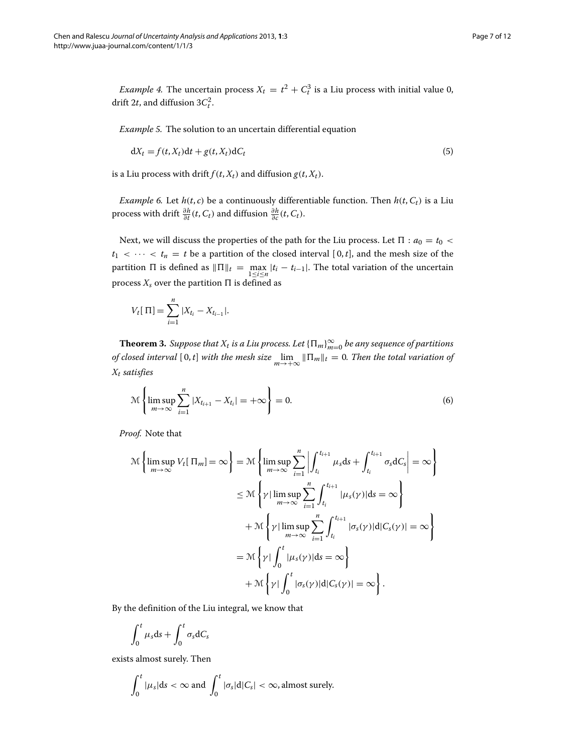*Example 4.* The uncertain process  $X_t = t^2 + C_t^3$  is a Liu process with initial value 0, drift 2*t*, and diffusion  $3C_t^2$ .

*Example 5.* The solution to an uncertain differential equation

$$
dX_t = f(t, X_t)dt + g(t, X_t)dC_t
$$
\n(5)

is a Liu process with drift  $f(t, X_t)$  and diffusion  $g(t, X_t)$ .

*Example 6.* Let  $h(t, c)$  be a continuously differentiable function. Then  $h(t, C_t)$  is a Liu process with drift  $\frac{\partial h}{\partial t}(t, C_t)$  and diffusion  $\frac{\partial h}{\partial c}(t, C_t)$ .

Next, we will discuss the properties of the path for the Liu process. Let  $\Pi : a_0 = t_0$  <  $t_1$  *<*  $\cdots$  *<*  $t_n$  *= t* be a partition of the closed interval [0, *t*], and the mesh size of the partition  $\Pi$  is defined as  $\|\Pi\|_t = \max_{1 \le i \le n} |t_i - t_{i-1}|$ . The total variation of the uncertain process  $X_s$  over the partition  $\Pi$  is defined as

$$
V_t[\Pi] = \sum_{i=1}^n |X_{t_i} - X_{t_{i-1}}|.
$$

**Theorem 3.** *Suppose that*  $X_t$  *is a Liu process. Let*  $\{\Pi_m\}_{m=0}^\infty$  *be any sequence of partitions of closed interval*  $[0, t]$  *with the mesh size*  $\lim_{m \to +\infty} \|\Pi_m\|_t = 0$ . Then the total variation of *Xt satisfies*

$$
\mathcal{M}\left\{\limsup_{m\to\infty}\sum_{i=1}^{n}|X_{t_{i+1}}-X_{t_i}|=+\infty\right\}=0.
$$
\n(6)

*Proof.* Note that

$$
\mathcal{M}\left\{\limsup_{m\to\infty} V_t[\Pi_m] = \infty\right\} = \mathcal{M}\left\{\limsup_{m\to\infty} \sum_{i=1}^n \left|\int_{t_i}^{t_{i+1}} \mu_s ds + \int_{t_i}^{t_{i+1}} \sigma_s dC_s\right| = \infty\right\}
$$

$$
\leq \mathcal{M}\left\{\gamma \mid \limsup_{m\to\infty} \sum_{i=1}^n \int_{t_i}^{t_{i+1}} |\mu_s(\gamma)| ds = \infty\right\}
$$

$$
+ \mathcal{M}\left\{\gamma \mid \limsup_{m\to\infty} \sum_{i=1}^n \int_{t_i}^{t_{i+1}} |\sigma_s(\gamma)| d|C_s(\gamma)| = \infty\right\}
$$

$$
= \mathcal{M}\left\{\gamma \mid \int_0^t |\mu_s(\gamma)| ds = \infty\right\}
$$

$$
+ \mathcal{M}\left\{\gamma \mid \int_0^t |\sigma_s(\gamma)| d|C_s(\gamma)| = \infty\right\}.
$$

By the definition of the Liu integral, we know that

$$
\int_0^t \mu_s \mathrm{d}s + \int_0^t \sigma_s \mathrm{d}C_s
$$

exists almost surely. Then

$$
\int_0^t |\mu_s| ds < \infty \text{ and } \int_0^t |\sigma_s| d|C_s| < \infty \text{, almost surely.}
$$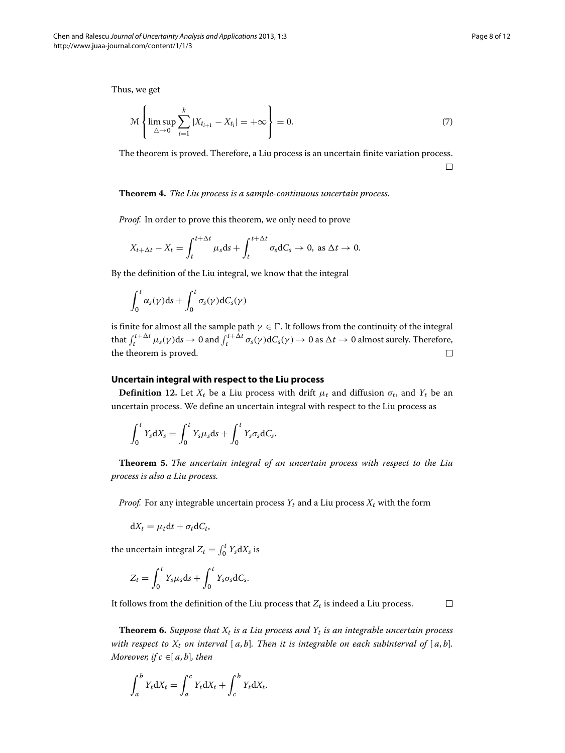Thus, we get

$$
\mathcal{M}\left\{\limsup_{\Delta\to 0}\sum_{i=1}^{k}|X_{t_{i+1}}-X_{t_i}|=+\infty\right\}=0.
$$
\n(7)

The theorem is proved. Therefore, a Liu process is an uncertain finite variation process.  $\Box$ 

#### **Theorem 4.** *The Liu process is a sample-continuous uncertain process.*

*Proof.* In order to prove this theorem, we only need to prove

$$
X_{t+\Delta t} - X_t = \int_t^{t+\Delta t} \mu_s \, ds + \int_t^{t+\Delta t} \sigma_s \, dC_s \to 0, \text{ as } \Delta t \to 0.
$$

By the definition of the Liu integral, we know that the integral

$$
\int_0^t \alpha_s(\gamma) \mathrm{d} s + \int_0^t \sigma_s(\gamma) \mathrm{d} C_s(\gamma)
$$

is finite for almost all the sample path  $\gamma \in \Gamma$ . It follows from the continuity of the integral that  $\int_t^{t+\Delta t} \mu_s(\gamma) ds \to 0$  and  $\int_t^{t+\Delta t} \sigma_s(\gamma) dC_s(\gamma) \to 0$  as  $\Delta t \to 0$  almost surely. Therefore, the theorem is proved.  $\Box$ 

### **Uncertain integral with respect to the Liu process**

**Definition 12.** Let  $X_t$  be a Liu process with drift  $\mu_t$  and diffusion  $\sigma_t$ , and  $Y_t$  be an uncertain process. We define an uncertain integral with respect to the Liu process as

$$
\int_0^t Y_s dX_s = \int_0^t Y_s \mu_s ds + \int_0^t Y_s \sigma_s dC_s.
$$

**Theorem 5.** *The uncertain integral of an uncertain process with respect to the Liu process is also a Liu process.*

*Proof.* For any integrable uncertain process  $Y_t$  and a Liu process  $X_t$  with the form

$$
dX_t = \mu_t dt + \sigma_t dC_t,
$$

the uncertain integral  $Z_t = \int_0^t Y_s dX_s$  is

$$
Z_t = \int_0^t Y_s \mu_s \mathrm{d}s + \int_0^t Y_s \sigma_s \mathrm{d}C_s.
$$

It follows from the definition of the Liu process that  $Z_t$  is indeed a Liu process.  $\Box$ 

**Theorem 6.** *Suppose that*  $X_t$  *is a Liu process and*  $Y_t$  *is an integrable uncertain process with respect to*  $X_t$  *on interval* [ $a$ , $b$ ]*. Then it is integrable on each subinterval of* [ $a$ , $b$ ]*. Moreover, if*  $c \in [a, b]$ *, then* 

$$
\int_a^b Y_t dX_t = \int_a^c Y_t dX_t + \int_c^b Y_t dX_t.
$$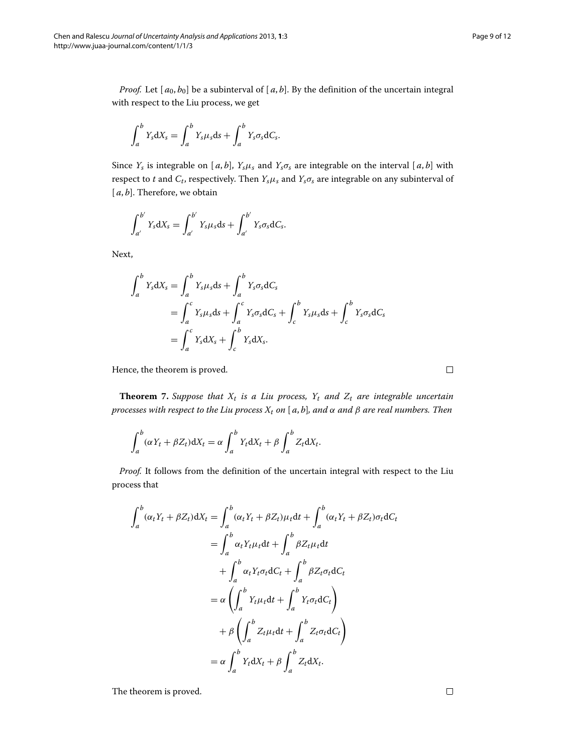*Proof.* Let  $[a_0, b_0]$  be a subinterval of  $[a, b]$ . By the definition of the uncertain integral with respect to the Liu process, we get

$$
\int_a^b Y_s dX_s = \int_a^b Y_s \mu_s ds + \int_a^b Y_s \sigma_s dC_s.
$$

Since  $Y_s$  is integrable on [ $a$ , $b$ ],  $Y_s\mu_s$  and  $Y_s\sigma_s$  are integrable on the interval [ $a$ , $b$ ] with respect to *t* and  $C_t$ , respectively. Then  $Y_s\mu_s$  and  $Y_s\sigma_s$  are integrable on any subinterval of [a, b]. Therefore, we obtain

$$
\int_{a'}^{b'} Y_s dX_s = \int_{a'}^{b'} Y_s \mu_s ds + \int_{a'}^{b'} Y_s \sigma_s dC_s.
$$

Next,

$$
\int_{a}^{b} Y_{s} dX_{s} = \int_{a}^{b} Y_{s} \mu_{s} ds + \int_{a}^{b} Y_{s} \sigma_{s} dC_{s}
$$
  
= 
$$
\int_{a}^{c} Y_{s} \mu_{s} ds + \int_{a}^{c} Y_{s} \sigma_{s} dC_{s} + \int_{c}^{b} Y_{s} \mu_{s} ds + \int_{c}^{b} Y_{s} \sigma_{s} dC_{s}
$$
  
= 
$$
\int_{a}^{c} Y_{s} dX_{s} + \int_{c}^{b} Y_{s} dX_{s}.
$$

Hence, the theorem is proved.

**Theorem** 7. *Suppose that*  $X_t$  *is a Liu process,*  $Y_t$  *and*  $Z_t$  *are integrable uncertain processes with respect to the Liu process Xt on* [ *a*, *b*]*, and α and β are real numbers. Then*

$$
\int_a^b (\alpha Y_t + \beta Z_t) dX_t = \alpha \int_a^b Y_t dX_t + \beta \int_a^b Z_t dX_t.
$$

*Proof.* It follows from the definition of the uncertain integral with respect to the Liu process that

$$
\int_{a}^{b} (\alpha_{t}Y_{t} + \beta Z_{t}) dX_{t} = \int_{a}^{b} (\alpha_{t}Y_{t} + \beta Z_{t}) \mu_{t} dt + \int_{a}^{b} (\alpha_{t}Y_{t} + \beta Z_{t}) \sigma_{t} dC_{t}
$$
\n
$$
= \int_{a}^{b} \alpha_{t}Y_{t} \mu_{t} dt + \int_{a}^{b} \beta Z_{t} \mu_{t} dt
$$
\n
$$
+ \int_{a}^{b} \alpha_{t}Y_{t} \sigma_{t} dC_{t} + \int_{a}^{b} \beta Z_{t} \sigma_{t} dC_{t}
$$
\n
$$
= \alpha \left( \int_{a}^{b} Y_{t} \mu_{t} dt + \int_{a}^{b} Y_{t} \sigma_{t} dC_{t} \right)
$$
\n
$$
+ \beta \left( \int_{a}^{b} Z_{t} \mu_{t} dt + \int_{a}^{b} Z_{t} \sigma_{t} dC_{t} \right)
$$
\n
$$
= \alpha \int_{a}^{b} Y_{t} dX_{t} + \beta \int_{a}^{b} Z_{t} dX_{t}.
$$

The theorem is proved.

 $\Box$ 

 $\Box$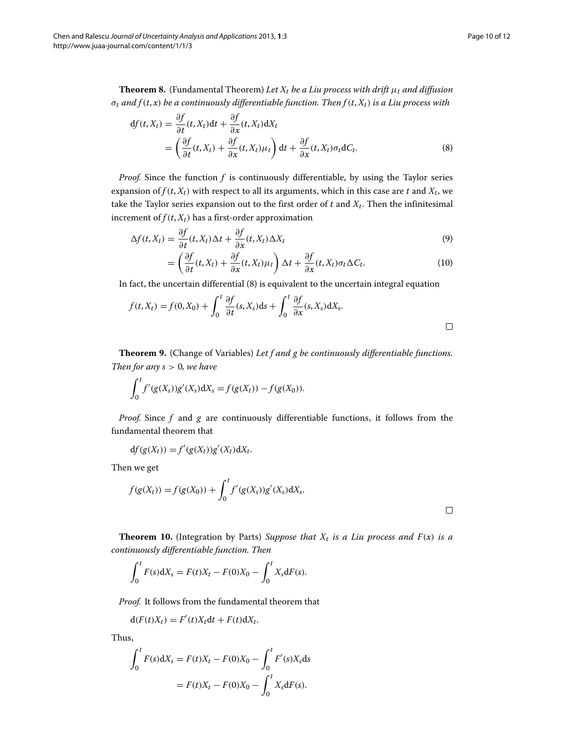**Theorem 8.** (Fundamental Theorem) Let  $X_t$  be a Liu process with drift  $\mu_t$  and diffusion  $\sigma_t$  *and*  $f(t, x)$  *be a continuously differentiable function. Then*  $f(t, X_t)$  *is a Liu process with* 

$$
df(t, X_t) = \frac{\partial f}{\partial t}(t, X_t)dt + \frac{\partial f}{\partial x}(t, X_t)dX_t
$$
  
= 
$$
\left(\frac{\partial f}{\partial t}(t, X_t) + \frac{\partial f}{\partial x}(t, X_t)\mu_t\right)dt + \frac{\partial f}{\partial x}(t, X_t)\sigma_t dC_t.
$$
 (8)

*Proof.* Since the function *f* is continuously differentiable, by using the Taylor series expansion of  $f(t, X_t)$  with respect to all its arguments, which in this case are  $t$  and  $X_t$ , we take the Taylor series expansion out to the first order of  $t$  and  $X_t$ . Then the infinitesimal increment of  $f(t, X_t)$  has a first-order approximation

$$
\Delta f(t, X_t) = \frac{\partial f}{\partial t}(t, X_t) \Delta t + \frac{\partial f}{\partial x}(t, X_t) \Delta X_t
$$
\n(9)

<span id="page-9-0"></span>
$$
= \left(\frac{\partial f}{\partial t}(t, X_t) + \frac{\partial f}{\partial x}(t, X_t)\mu_t\right)\Delta t + \frac{\partial f}{\partial x}(t, X_t)\sigma_t\Delta C_t.
$$
\n(10)

In fact, the uncertain differential [\(8\)](#page-9-0) is equivalent to the uncertain integral equation

$$
f(t, X_t) = f(0, X_0) + \int_0^t \frac{\partial f}{\partial t}(s, X_s) ds + \int_0^t \frac{\partial f}{\partial x}(s, X_s) dX_s.
$$

**Theorem 9.** (Change of Variables) *Let f and g be continuously differentiable functions. Then for any s >* 0*, we have*

$$
\int_0^t f'(g(X_s))g'(X_s) dX_s = f(g(X_t)) - f(g(X_0)).
$$

*Proof.* Since *f* and *g* are continuously differentiable functions, it follows from the fundamental theorem that

$$
df(g(X_t)) = f'(g(X_t))g'(X_t)dX_t.
$$

Then we get

$$
f(g(X_t)) = f(g(X_0)) + \int_0^t f'(g(X_s))g'(X_s) dX_s.
$$

 $\Box$ 

**Theorem 10.** (Integration by Parts) *Suppose that*  $X_t$  *is a Liu process and*  $F(x)$  *is a continuously differentiable function. Then*

$$
\int_0^t F(s) dX_s = F(t)X_t - F(0)X_0 - \int_0^t X_s dF(s).
$$

*Proof.* It follows from the fundamental theorem that

$$
d(F(t)X_t) = F'(t)X_t dt + F(t)dX_t.
$$

Thus,

$$
\int_0^t F(s) dX_s = F(t)X_t - F(0)X_0 - \int_0^t F'(s)X_s ds
$$
  
=  $F(t)X_t - F(0)X_0 - \int_0^t X_s dF(s).$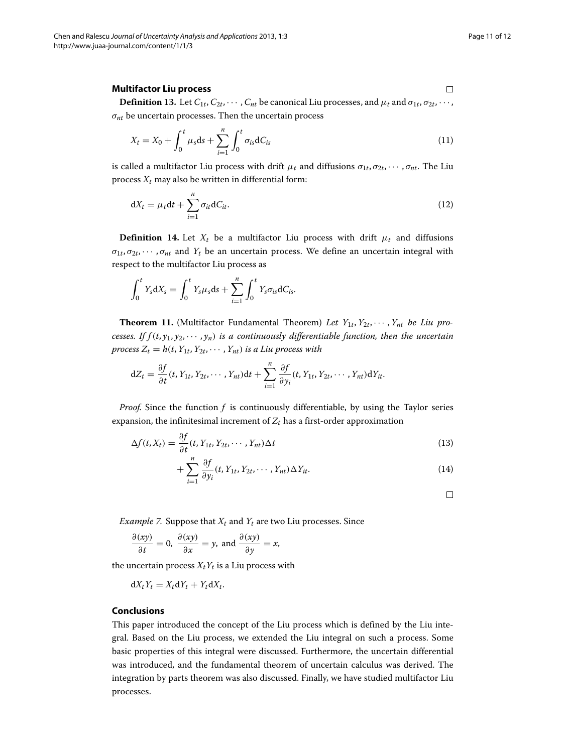$\Box$ 

#### <span id="page-10-0"></span>**Multifactor Liu process**

**Definition 13.** Let  $C_{1t}$ ,  $C_{2t}$ ,  $\cdots$ ,  $C_{nt}$  be canonical Liu processes, and  $\mu_t$  and  $\sigma_{1t}$ ,  $\sigma_{2t}$ ,  $\cdots$ , *σnt* be uncertain processes. Then the uncertain process

$$
X_{t} = X_{0} + \int_{0}^{t} \mu_{s} ds + \sum_{i=1}^{n} \int_{0}^{t} \sigma_{is} dC_{is}
$$
\n(11)

is called a multifactor Liu process with drift  $\mu_t$  and diffusions  $\sigma_{1t}, \sigma_{2t}, \cdots, \sigma_{nt}$ . The Liu process  $X_t$  may also be written in differential form:

$$
dX_t = \mu_t dt + \sum_{i=1}^n \sigma_{it} dC_{it}.
$$
\n(12)

**Definition 14.** Let  $X_t$  be a multifactor Liu process with drift  $\mu_t$  and diffusions  $\sigma_{1t}, \sigma_{2t}, \cdots, \sigma_{nt}$  and  $Y_t$  be an uncertain process. We define an uncertain integral with respect to the multifactor Liu process as

$$
\int_0^t Y_s dX_s = \int_0^t Y_s \mu_s ds + \sum_{i=1}^n \int_0^t Y_s \sigma_{is} dC_{is}.
$$

**Theorem 11.** (Multifactor Fundamental Theorem) Let  $Y_{1t}, Y_{2t}, \dots, Y_{nt}$  be Liu pro*cesses. If*  $f(t, y_1, y_2, \dots, y_n)$  *is a continuously differentiable function, then the uncertain process*  $Z_t = h(t, Y_{1t}, Y_{2t}, \cdots, Y_{nt})$  *is a Liu process with* 

$$
dZ_t = \frac{\partial f}{\partial t}(t, Y_{1t}, Y_{2t}, \cdots, Y_{nt})dt + \sum_{i=1}^n \frac{\partial f}{\partial y_i}(t, Y_{1t}, Y_{2t}, \cdots, Y_{nt})dY_{it}.
$$

*Proof.* Since the function *f* is continuously differentiable, by using the Taylor series expansion, the infinitesimal increment of  $Z_t$  has a first-order approximation

$$
\Delta f(t, X_t) = \frac{\partial f}{\partial t}(t, Y_{1t}, Y_{2t}, \cdots, Y_{nt}) \Delta t
$$
\n(13)

$$
+\sum_{i=1}^{n} \frac{\partial f}{\partial y_i}(t, Y_{1t}, Y_{2t}, \cdots, Y_{nt}) \Delta Y_{it}.
$$
\n(14)

 $\Box$ 

*Example 7.* Suppose that  $X_t$  and  $Y_t$  are two Liu processes. Since

$$
\frac{\partial(xy)}{\partial t} = 0, \ \frac{\partial(xy)}{\partial x} = y, \text{ and } \frac{\partial(xy)}{\partial y} = x,
$$

the uncertain process  $X_tY_t$  is a Liu process with

$$
dX_tY_t=X_t dY_t+Y_t dX_t.
$$

#### **Conclusions**

This paper introduced the concept of the Liu process which is defined by the Liu integral. Based on the Liu process, we extended the Liu integral on such a process. Some basic properties of this integral were discussed. Furthermore, the uncertain differential was introduced, and the fundamental theorem of uncertain calculus was derived. The integration by parts theorem was also discussed. Finally, we have studied multifactor Liu processes.